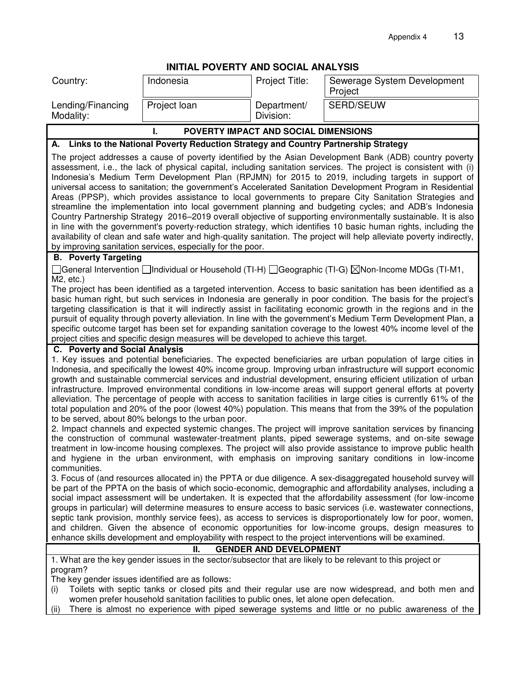|  |  |  | INITIAL POVERTY AND SOCIAL ANALYSIS |
|--|--|--|-------------------------------------|
|--|--|--|-------------------------------------|

|                                                                     | INITIAL POVERTY AND SOCIAL ANALYSIS                                                     |                               |                                                                                                                                                                                                                                                                                                                                                                                                                                                                                                                                                                                                                                                                                                                                                                                                                                                                                                                                                                                                                                                                                                                                                                                                                                                                                                                                                                                                                                                                                                                                                                                                                                                                                                                                                                                                                                                                                                                                                                |  |
|---------------------------------------------------------------------|-----------------------------------------------------------------------------------------|-------------------------------|----------------------------------------------------------------------------------------------------------------------------------------------------------------------------------------------------------------------------------------------------------------------------------------------------------------------------------------------------------------------------------------------------------------------------------------------------------------------------------------------------------------------------------------------------------------------------------------------------------------------------------------------------------------------------------------------------------------------------------------------------------------------------------------------------------------------------------------------------------------------------------------------------------------------------------------------------------------------------------------------------------------------------------------------------------------------------------------------------------------------------------------------------------------------------------------------------------------------------------------------------------------------------------------------------------------------------------------------------------------------------------------------------------------------------------------------------------------------------------------------------------------------------------------------------------------------------------------------------------------------------------------------------------------------------------------------------------------------------------------------------------------------------------------------------------------------------------------------------------------------------------------------------------------------------------------------------------------|--|
| Country:                                                            | Indonesia                                                                               | Project Title:                | Sewerage System Development<br>Project                                                                                                                                                                                                                                                                                                                                                                                                                                                                                                                                                                                                                                                                                                                                                                                                                                                                                                                                                                                                                                                                                                                                                                                                                                                                                                                                                                                                                                                                                                                                                                                                                                                                                                                                                                                                                                                                                                                         |  |
| Lending/Financing<br>Modality:                                      | Project loan                                                                            | Department/<br>Division:      | <b>SERD/SEUW</b>                                                                                                                                                                                                                                                                                                                                                                                                                                                                                                                                                                                                                                                                                                                                                                                                                                                                                                                                                                                                                                                                                                                                                                                                                                                                                                                                                                                                                                                                                                                                                                                                                                                                                                                                                                                                                                                                                                                                               |  |
| POVERTY IMPACT AND SOCIAL DIMENSIONS<br>I.                          |                                                                                         |                               |                                                                                                                                                                                                                                                                                                                                                                                                                                                                                                                                                                                                                                                                                                                                                                                                                                                                                                                                                                                                                                                                                                                                                                                                                                                                                                                                                                                                                                                                                                                                                                                                                                                                                                                                                                                                                                                                                                                                                                |  |
|                                                                     | A. Links to the National Poverty Reduction Strategy and Country Partnership Strategy    |                               |                                                                                                                                                                                                                                                                                                                                                                                                                                                                                                                                                                                                                                                                                                                                                                                                                                                                                                                                                                                                                                                                                                                                                                                                                                                                                                                                                                                                                                                                                                                                                                                                                                                                                                                                                                                                                                                                                                                                                                |  |
|                                                                     | by improving sanitation services, especially for the poor.                              |                               | The project addresses a cause of poverty identified by the Asian Development Bank (ADB) country poverty<br>assessment, i.e., the lack of physical capital, including sanitation services. The project is consistent with (i)<br>Indonesia's Medium Term Development Plan (RPJMN) for 2015 to 2019, including targets in support of<br>universal access to sanitation; the government's Accelerated Sanitation Development Program in Residential<br>Areas (PPSP), which provides assistance to local governments to prepare City Sanitation Strategies and<br>streamline the implementation into local government planning and budgeting cycles; and ADB's Indonesia<br>Country Partnership Strategy 2016-2019 overall objective of supporting environmentally sustainable. It is also<br>in line with the government's poverty-reduction strategy, which identifies 10 basic human rights, including the<br>availability of clean and safe water and high-quality sanitation. The project will help alleviate poverty indirectly,                                                                                                                                                                                                                                                                                                                                                                                                                                                                                                                                                                                                                                                                                                                                                                                                                                                                                                                             |  |
| <b>B.</b> Poverty Targeting                                         |                                                                                         |                               |                                                                                                                                                                                                                                                                                                                                                                                                                                                                                                                                                                                                                                                                                                                                                                                                                                                                                                                                                                                                                                                                                                                                                                                                                                                                                                                                                                                                                                                                                                                                                                                                                                                                                                                                                                                                                                                                                                                                                                |  |
| $M2$ , etc.)                                                        |                                                                                         |                               | ◯General Intervention ◯Individual or Household (TI-H) ◯Geographic (TI-G) $\boxtimes$ Non-Income MDGs (TI-M1,<br>The project has been identified as a targeted intervention. Access to basic sanitation has been identified as a<br>basic human right, but such services in Indonesia are generally in poor condition. The basis for the project's<br>targeting classification is that it will indirectly assist in facilitating economic growth in the regions and in the<br>pursuit of equality through poverty alleviation. In line with the government's Medium Term Development Plan, a<br>specific outcome target has been set for expanding sanitation coverage to the lowest 40% income level of the                                                                                                                                                                                                                                                                                                                                                                                                                                                                                                                                                                                                                                                                                                                                                                                                                                                                                                                                                                                                                                                                                                                                                                                                                                                    |  |
|                                                                     | project cities and specific design measures will be developed to achieve this target.   |                               |                                                                                                                                                                                                                                                                                                                                                                                                                                                                                                                                                                                                                                                                                                                                                                                                                                                                                                                                                                                                                                                                                                                                                                                                                                                                                                                                                                                                                                                                                                                                                                                                                                                                                                                                                                                                                                                                                                                                                                |  |
| C. Poverty and Social Analysis<br>communities.                      | to be served, about 80% belongs to the urban poor.<br>н.                                | <b>GENDER AND DEVELOPMENT</b> | 1. Key issues and potential beneficiaries. The expected beneficiaries are urban population of large cities in<br>Indonesia, and specifically the lowest 40% income group. Improving urban infrastructure will support economic<br>growth and sustainable commercial services and industrial development, ensuring efficient utilization of urban<br>infrastructure. Improved environmental conditions in low-income areas will support general efforts at poverty<br>alleviation. The percentage of people with access to sanitation facilities in large cities is currently 61% of the<br>total population and 20% of the poor (lowest 40%) population. This means that from the 39% of the population<br>2. Impact channels and expected systemic changes. The project will improve sanitation services by financing<br>the construction of communal wastewater-treatment plants, piped sewerage systems, and on-site sewage<br>treatment in low-income housing complexes. The project will also provide assistance to improve public health<br>and hygiene in the urban environment, with emphasis on improving sanitary conditions in low-income<br>3. Focus of (and resources allocated in) the PPTA or due diligence. A sex-disaggregated household survey will<br>be part of the PPTA on the basis of which socio-economic, demographic and affordability analyses, including a<br>social impact assessment will be undertaken. It is expected that the affordability assessment (for low-income<br>groups in particular) will determine measures to ensure access to basic services (i.e. wastewater connections,<br>septic tank provision, monthly service fees), as access to services is disproportionately low for poor, women,<br>and children. Given the absence of economic opportunities for low-income groups, design measures to<br>enhance skills development and employability with respect to the project interventions will be examined. |  |
|                                                                     |                                                                                         |                               | 1. What are the key gender issues in the sector/subsector that are likely to be relevant to this project or                                                                                                                                                                                                                                                                                                                                                                                                                                                                                                                                                                                                                                                                                                                                                                                                                                                                                                                                                                                                                                                                                                                                                                                                                                                                                                                                                                                                                                                                                                                                                                                                                                                                                                                                                                                                                                                    |  |
| program?<br>The key gender issues identified are as follows:<br>(i) | women prefer household sanitation facilities to public ones, let alone open defecation. |                               | Toilets with septic tanks or closed pits and their regular use are now widespread, and both men and                                                                                                                                                                                                                                                                                                                                                                                                                                                                                                                                                                                                                                                                                                                                                                                                                                                                                                                                                                                                                                                                                                                                                                                                                                                                                                                                                                                                                                                                                                                                                                                                                                                                                                                                                                                                                                                            |  |

(ii) There is almost no experience with piped sewerage systems and little or no public awareness of the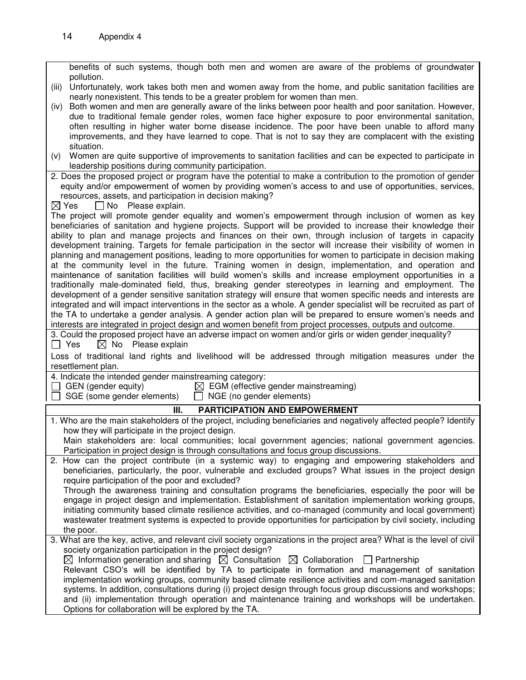| benefits of such systems, though both men and women are aware of the problems of groundwater                                                                                                                        |
|---------------------------------------------------------------------------------------------------------------------------------------------------------------------------------------------------------------------|
| pollution.                                                                                                                                                                                                          |
| Unfortunately, work takes both men and women away from the home, and public sanitation facilities are<br>(iii)<br>nearly nonexistent. This tends to be a greater problem for women than men.                        |
| Both women and men are generally aware of the links between poor health and poor sanitation. However,<br>(iv)                                                                                                       |
| due to traditional female gender roles, women face higher exposure to poor environmental sanitation,                                                                                                                |
| often resulting in higher water borne disease incidence. The poor have been unable to afford many                                                                                                                   |
| improvements, and they have learned to cope. That is not to say they are complacent with the existing                                                                                                               |
| situation.                                                                                                                                                                                                          |
| Women are quite supportive of improvements to sanitation facilities and can be expected to participate in<br>(V)                                                                                                    |
| leadership positions during community participation.                                                                                                                                                                |
| 2. Does the proposed project or program have the potential to make a contribution to the promotion of gender                                                                                                        |
| equity and/or empowerment of women by providing women's access to and use of opportunities, services,                                                                                                               |
| resources, assets, and participation in decision making?                                                                                                                                                            |
| $\boxtimes$ Yes<br>No Please explain.<br>The project will promote gender equality and women's empowerment through inclusion of women as key                                                                         |
| beneficiaries of sanitation and hygiene projects. Support will be provided to increase their knowledge their                                                                                                        |
| ability to plan and manage projects and finances on their own, through inclusion of targets in capacity                                                                                                             |
| development training. Targets for female participation in the sector will increase their visibility of women in                                                                                                     |
| planning and management positions, leading to more opportunities for women to participate in decision making                                                                                                        |
| at the community level in the future. Training women in design, implementation, and operation and                                                                                                                   |
| maintenance of sanitation facilities will build women's skills and increase employment opportunities in a                                                                                                           |
| traditionally male-dominated field, thus, breaking gender stereotypes in learning and employment. The                                                                                                               |
| development of a gender sensitive sanitation strategy will ensure that women specific needs and interests are                                                                                                       |
| integrated and will impact interventions in the sector as a whole. A gender specialist will be recruited as part of                                                                                                 |
| the TA to undertake a gender analysis. A gender action plan will be prepared to ensure women's needs and                                                                                                            |
| interests are integrated in project design and women benefit from project processes, outputs and outcome.<br>3. Could the proposed project have an adverse impact on women and/or girls or widen gender inequality? |
| $\boxtimes$ No Please explain<br>$\Box$ Yes                                                                                                                                                                         |
| Loss of traditional land rights and livelihood will be addressed through mitigation measures under the                                                                                                              |
| resettlement plan.                                                                                                                                                                                                  |
| 4. Indicate the intended gender mainstreaming category:                                                                                                                                                             |
| $\boxtimes$ EGM (effective gender mainstreaming)<br>$\Box$ GEN (gender equity)                                                                                                                                      |
| $\Box$ SGE (some gender elements)<br>$\Box$ NGE (no gender elements)                                                                                                                                                |
| PARTICIPATION AND EMPOWERMENT<br>III.                                                                                                                                                                               |
| 1. Who are the main stakeholders of the project, including beneficiaries and negatively affected people? Identify                                                                                                   |
| how they will participate in the project design.                                                                                                                                                                    |
| Main stakeholders are: local communities; local government agencies; national government agencies.                                                                                                                  |
| Participation in project design is through consultations and focus group discussions.                                                                                                                               |
| 2. How can the project contribute (in a systemic way) to engaging and empowering stakeholders and                                                                                                                   |
| beneficiaries, particularly, the poor, vulnerable and excluded groups? What issues in the project design                                                                                                            |
| require participation of the poor and excluded?                                                                                                                                                                     |
| Through the awareness training and consultation programs the beneficiaries, especially the poor will be<br>engage in project design and implementation. Establishment of sanitation implementation working groups,  |
|                                                                                                                                                                                                                     |
|                                                                                                                                                                                                                     |
| initiating community based climate resilience activities, and co-managed (community and local government)                                                                                                           |
| wastewater treatment systems is expected to provide opportunities for participation by civil society, including                                                                                                     |
| the poor.                                                                                                                                                                                                           |
| 3. What are the key, active, and relevant civil society organizations in the project area? What is the level of civil<br>society organization participation in the project design?                                  |
| $\boxtimes$ Information generation and sharing $\boxtimes$ Consultation $\boxtimes$ Collaboration $\Box$ Partnership                                                                                                |
| Relevant CSO's will be identified by TA to participate in formation and management of sanitation                                                                                                                    |
| implementation working groups, community based climate resilience activities and com-managed sanitation                                                                                                             |
| systems. In addition, consultations during (i) project design through focus group discussions and workshops;                                                                                                        |
| and (ii) implementation through operation and maintenance training and workshops will be undertaken.<br>Options for collaboration will be explored by the TA.                                                       |